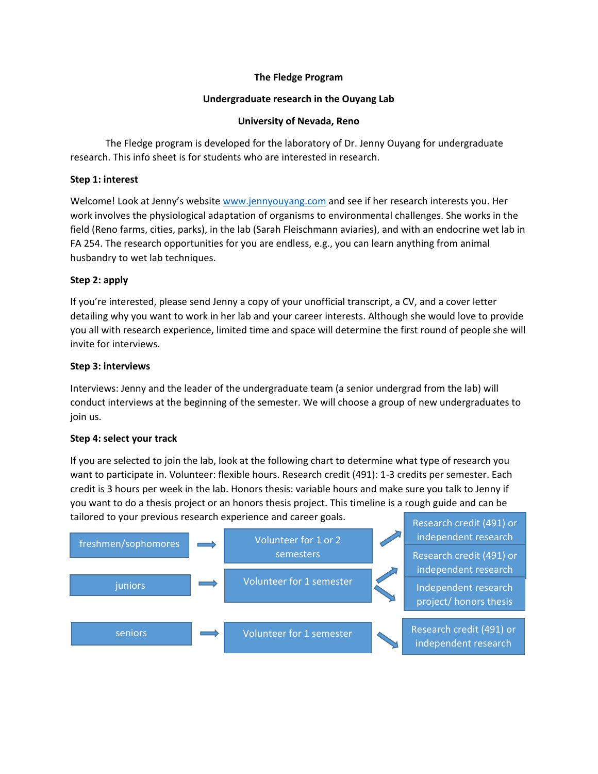## **The Fledge Program**

## **Undergraduate research in the Ouyang Lab**

## **University of Nevada, Reno**

The Fledge program is developed for the laboratory of Dr. Jenny Ouyang for undergraduate research. This info sheet is for students who are interested in research.

## **Step 1: interest**

Welcome! Look at Jenny's website [www.jennyouyang.com](http://www.jennyouyang.com/) and see if her research interests you. Her work involves the physiological adaptation of organisms to environmental challenges. She works in the field (Reno farms, cities, parks), in the lab (Sarah Fleischmann aviaries), and with an endocrine wet lab in FA 254. The research opportunities for you are endless, e.g., you can learn anything from animal husbandry to wet lab techniques.

# **Step 2: apply**

If you're interested, please send Jenny a copy of your unofficial transcript, a CV, and a cover letter detailing why you want to work in her lab and your career interests. Although she would love to provide you all with research experience, limited time and space will determine the first round of people she will invite for interviews.

#### **Step 3: interviews**

Interviews: Jenny and the leader of the undergraduate team (a senior undergrad from the lab) will conduct interviews at the beginning of the semester. We will choose a group of new undergraduates to join us.

# **Step 4: select your track**

If you are selected to join the lab, look at the following chart to determine what type of research you want to participate in. Volunteer: flexible hours. Research credit (491): 1-3 credits per semester. Each credit is 3 hours per week in the lab. Honors thesis: variable hours and make sure you talk to Jenny if you want to do a thesis project or an honors thesis project. This timeline is a rough guide and can be tailored to your previous research experience and career goals.